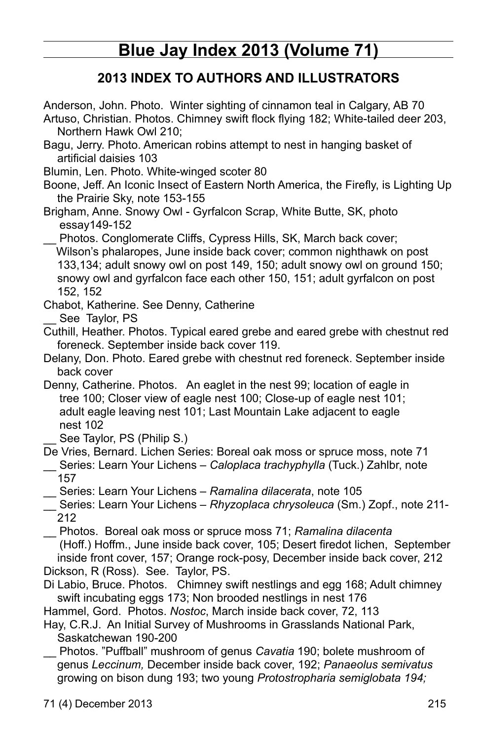# **Blue Jay Index 2013 (Volume 71)**

# **2013 Index to Authors and Illustrators**

Anderson, John. Photo. Winter sighting of cinnamon teal in Calgary, AB 70

Artuso, Christian. Photos. Chimney swift flock flying 182; White-tailed deer 203, Northern Hawk Owl 210;

- Bagu, Jerry. Photo. American robins attempt to nest in hanging basket of artificial daisies 103
- Blumin, Len. Photo. White-winged scoter 80
- Boone, Jeff. An Iconic Insect of Eastern North America, the Firefly, is Lighting Up the Prairie Sky, note 153-155
- Brigham, Anne. Snowy Owl Gyrfalcon Scrap, White Butte, SK, photo essay149-152
- Photos. Conglomerate Cliffs, Cypress Hills, SK, March back cover; Wilson's phalaropes, June inside back cover; common nighthawk on post 133,134; adult snowy owl on post 149, 150; adult snowy owl on ground 150; snowy owl and gyrfalcon face each other 150, 151; adult gyrfalcon on post 152, 152
- Chabot, Katherine. See Denny, Catherine

See Taylor, PS

- Cuthill, Heather. Photos. Typical eared grebe and eared grebe with chestnut red foreneck. September inside back cover 119.
- Delany, Don. Photo. Eared grebe with chestnut red foreneck. September inside back cover
- Denny, Catherine. Photos. An eaglet in the nest 99; location of eagle in tree 100; Closer view of eagle nest 100; Close-up of eagle nest 101; adult eagle leaving nest 101; Last Mountain Lake adjacent to eagle nest 102
	- See Taylor, PS (Philip S.)

De Vries, Bernard. Lichen Series: Boreal oak moss or spruce moss, note 71

- \_\_ Series: Learn Your Lichens *Caloplaca trachyphylla* (Tuck.) Zahlbr, note 157
- \_\_ Series: Learn Your Lichens *Ramalina dilacerata*, note 105
- \_\_ Series: Learn Your Lichens *Rhyzoplaca chrysoleuca* (Sm.) Zopf., note 211- 212

\_\_ Photos. Boreal oak moss or spruce moss 71; *Ramalina dilacenta*  (Hoff.) Hoffm., June inside back cover, 105; Desert firedot lichen, September inside front cover, 157; Orange rock-posy, December inside back cover, 212 Dickson, R (Ross). See. Taylor, PS.

Di Labio, Bruce. Photos. Chimney swift nestlings and egg 168; Adult chimney swift incubating eggs 173; Non brooded nestlings in nest 176

- Hammel, Gord. Photos. *Nostoc*, March inside back cover, 72, 113
- Hay, C.R.J. An Initial Survey of Mushrooms in Grasslands National Park, Saskatchewan 190-200
- \_\_ Photos. "Puffball" mushroom of genus *Cavatia* 190; bolete mushroom of genus *Leccinum,* December inside back cover, 192; *Panaeolus semivatus* growing on bison dung 193; two young *Protostropharia semiglobata 194;*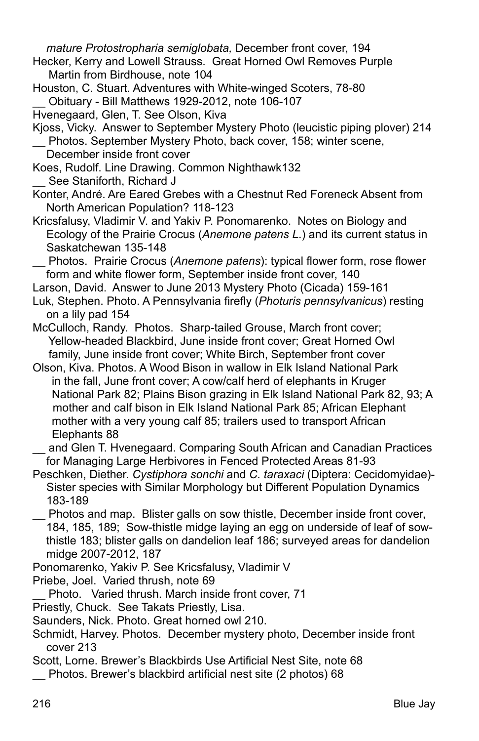*mature Protostropharia semiglobata,* December front cover, 194

- Hecker, Kerry and Lowell Strauss. Great Horned Owl Removes Purple Martin from Birdhouse, note 104
- Houston, C. Stuart. Adventures with White-winged Scoters, 78-80 \_\_ Obituary - Bill Matthews 1929-2012, note 106-107
- Hvenegaard, Glen, T. See Olson, Kiva
- Kjoss, Vicky. Answer to September Mystery Photo (leucistic piping plover) 214 Photos. September Mystery Photo, back cover, 158; winter scene,
- December inside front cover Koes, Rudolf. Line Drawing. Common Nighthawk132 See Staniforth, Richard J
- Konter, André. Are Eared Grebes with a Chestnut Red Foreneck Absent from North American Population? 118-123
- Kricsfalusy, Vladimir V. and Yakiv P. Ponomarenko. Notes on Biology and Ecology of the Prairie Crocus (*Anemone patens L*.) and its current status in Saskatchewan 135-148
- \_\_ Photos. Prairie Crocus (*Anemone patens*): typical flower form, rose flower form and white flower form, September inside front cover, 140
- Larson, David. Answer to June 2013 Mystery Photo (Cicada) 159-161
- Luk, Stephen. Photo. A Pennsylvania firefly (*Photuris pennsylvanicus*) resting on a lily pad 154
- McCulloch, Randy. Photos. Sharp-tailed Grouse, March front cover; Yellow-headed Blackbird, June inside front cover; Great Horned Owl family, June inside front cover; White Birch, September front cover
- Olson, Kiva. Photos. A Wood Bison in wallow in Elk Island National Park in the fall, June front cover; A cow/calf herd of elephants in Kruger National Park 82; Plains Bison grazing in Elk Island National Park 82, 93; A mother and calf bison in Elk Island National Park 85; African Elephant mother with a very young calf 85; trailers used to transport African Elephants 88
- and Glen T. Hvenegaard. Comparing South African and Canadian Practices for Managing Large Herbivores in Fenced Protected Areas 81-93
- Peschken, Diether. *Cystiphora sonchi* and *C. taraxaci* (Diptera: Cecidomyidae)- Sister species with Similar Morphology but Different Population Dynamics 183-189
- Photos and map. Blister galls on sow thistle, December inside front cover, 184, 185, 189; Sow-thistle midge laying an egg on underside of leaf of sowthistle 183; blister galls on dandelion leaf 186; surveyed areas for dandelion midge 2007-2012, 187
- Ponomarenko, Yakiv P. See Kricsfalusy, Vladimir V

Priebe, Joel. Varied thrush, note 69

- Photo. Varied thrush. March inside front cover, 71
- Priestly, Chuck. See Takats Priestly, Lisa.
- Saunders, Nick. Photo. Great horned owl 210.
- Schmidt, Harvey. Photos. December mystery photo, December inside front cover 213

Scott, Lorne. Brewer's Blackbirds Use Artificial Nest Site, note 68

Photos. Brewer's blackbird artificial nest site (2 photos) 68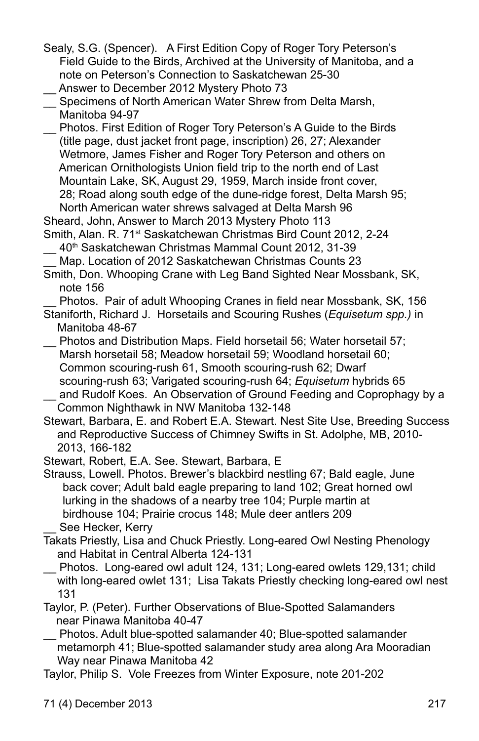- Sealy, S.G. (Spencer). A First Edition Copy of Roger Tory Peterson's Field Guide to the Birds, Archived at the University of Manitoba, and a note on Peterson's Connection to Saskatchewan 25-30 Answer to December 2012 Mystery Photo 73
- \_\_ Specimens of North American Water Shrew from Delta Marsh, Manitoba 94-97
- \_\_ Photos. First Edition of Roger Tory Peterson's A Guide to the Birds (title page, dust jacket front page, inscription) 26, 27; Alexander Wetmore, James Fisher and Roger Tory Peterson and others on American Ornithologists Union field trip to the north end of Last Mountain Lake, SK, August 29, 1959, March inside front cover, 28; Road along south edge of the dune-ridge forest, Delta Marsh 95; North American water shrews salvaged at Delta Marsh 96

Sheard, John, Answer to March 2013 Mystery Photo 113

- Smith, Alan. R. 71<sup>st</sup> Saskatchewan Christmas Bird Count 2012, 2-24 40<sup>th</sup> Saskatchewan Christmas Mammal Count 2012, 31-39
- Map. Location of 2012 Saskatchewan Christmas Counts 23
- Smith, Don. Whooping Crane with Leg Band Sighted Near Mossbank, SK, note 156
	- Photos. Pair of adult Whooping Cranes in field near Mossbank, SK, 156

Staniforth, Richard J. Horsetails and Scouring Rushes (*Equisetum spp.)* in Manitoba 48-67

- \_\_ Photos and Distribution Maps. Field horsetail 56; Water horsetail 57; Marsh horsetail 58; Meadow horsetail 59; Woodland horsetail 60; Common scouring-rush 61, Smooth scouring-rush 62; Dwarf scouring-rush 63; Varigated scouring-rush 64; *Equisetum* hybrids 65
- and Rudolf Koes. An Observation of Ground Feeding and Coprophagy by a Common Nighthawk in NW Manitoba 132-148
- Stewart, Barbara, E. and Robert E.A. Stewart. Nest Site Use, Breeding Success and Reproductive Success of Chimney Swifts in St. Adolphe, MB, 2010- 2013, 166-182

Stewart, Robert, E.A. See. Stewart, Barbara, E

Strauss, Lowell. Photos. Brewer's blackbird nestling 67; Bald eagle, June back cover; Adult bald eagle preparing to land 102; Great horned owl lurking in the shadows of a nearby tree 104; Purple martin at birdhouse 104; Prairie crocus 148; Mule deer antlers 209 See Hecker, Kerry

- Takats Priestly, Lisa and Chuck Priestly. Long-eared Owl Nesting Phenology and Habitat in Central Alberta 124-131
- Photos. Long-eared owl adult 124, 131; Long-eared owlets 129,131; child with long-eared owlet 131; Lisa Takats Priestly checking long-eared owl nest 131
- Taylor, P. (Peter). Further Observations of Blue-Spotted Salamanders near Pinawa Manitoba 40-47
- \_\_ Photos. Adult blue-spotted salamander 40; Blue-spotted salamander metamorph 41; Blue-spotted salamander study area along Ara Mooradian Way near Pinawa Manitoba 42
- Taylor, Philip S. Vole Freezes from Winter Exposure, note 201-202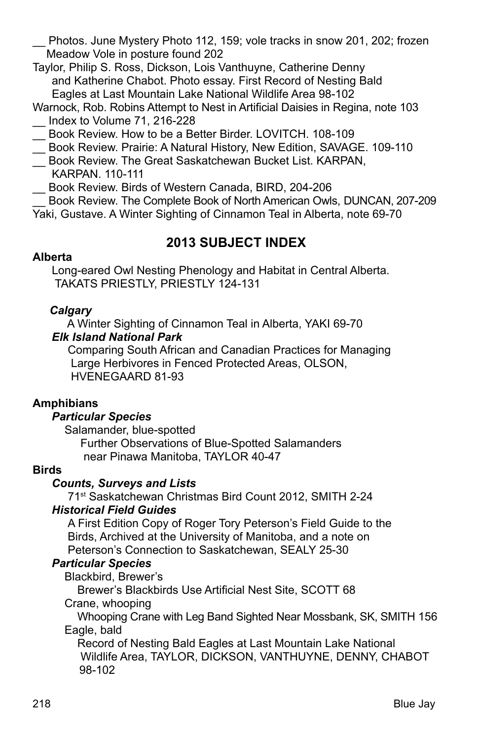Photos. June Mystery Photo 112, 159; vole tracks in snow 201, 202; frozen Meadow Vole in posture found 202

Taylor, Philip S. Ross, Dickson, Lois Vanthuyne, Catherine Denny and Katherine Chabot. Photo essay. First Record of Nesting Bald Eagles at Last Mountain Lake National Wildlife Area 98-102

- Warnock, Rob. Robins Attempt to Nest in Artificial Daisies in Regina, note 103 \_\_ Index to Volume 71, 216-228
- \_\_ Book Review. How to be a Better Birder. LOVITCH. 108-109
- \_\_ Book Review. Prairie: A Natural History, New Edition, SAVAGE. 109-110
- \_\_ Book Review. The Great Saskatchewan Bucket List. KARPAN, KARPAN. 110-111
- \_\_ Book Review. Birds of Western Canada, BIRD, 204-206

\_\_ Book Review. The Complete Book of North American Owls, DUNCAN, 207-209 Yaki, Gustave. A Winter Sighting of Cinnamon Teal in Alberta, note 69-70

# **2013 SUBJECT INDEX**

### **Alberta**

 Long-eared Owl Nesting Phenology and Habitat in Central Alberta. TAKATS PRIESTLY, PRIESTLY 124-131

# *Calgary*

 A Winter Sighting of Cinnamon Teal in Alberta, YAKI 69-70 *Elk Island National Park*

Comparing South African and Canadian Practices for Managing Large Herbivores in Fenced Protected Areas, OLSON, Hvenegaard 81-93

# **Amphibians**

# *Particular Species*

Salamander, blue-spotted

**Further Observations of Blue-Spotted Salamanders** near Pinawa Manitoba, TAYLOR 40-47

# **Birds**

# *Counts, Surveys and Lists*

71st Saskatchewan Christmas Bird Count 2012, SMITH 2-24

# *Historical Field Guides*

A First Edition Copy of Roger Tory Peterson's Field Guide to the Birds, Archived at the University of Manitoba, and a note on Peterson's Connection to Saskatchewan, SEALY 25-30

# *Particular Species*

Blackbird, Brewer's

 Brewer's Blackbirds Use Artificial Nest Site, SCOTT 68 Crane, whooping

 Whooping Crane with Leg Band Sighted Near Mossbank, SK, SMITH 156 Eagle, bald

 Record of Nesting Bald Eagles at Last Mountain Lake National Wildlife Area, TAYLOR, DICKSON, VANTHUYNE, DENNY, CHABOT 98-102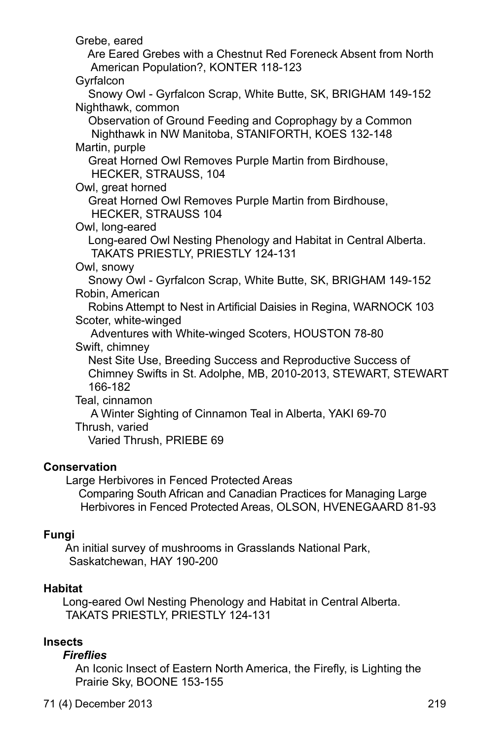Grebe, eared Are Eared Grebes with a Chestnut Red Foreneck Absent from North American Population?, KONTER 118-123 **Gyrfalcon**  Snowy Owl - Gyrfalcon Scrap, White Butte, SK, BRIGHAM 149-152 Nighthawk, common Observation of Ground Feeding and Coprophagy by a Common Nighthawk in NW Manitoba, STANIFORTH, KOES 132-148 Martin, purple Great Horned Owl Removes Purple Martin from Birdhouse, HECKER, STRAUSS, 104 Owl, great horned Great Horned Owl Removes Purple Martin from Birdhouse, HECKER, STRAUSS 104 Owl, long-eared Long-eared Owl Nesting Phenology and Habitat in Central Alberta. TAKATS PRIESTLY, PRIESTLY 124-131 Owl, snowy Snowy Owl - Gyrfalcon Scrap, White Butte, SK, BRIGHAM 149-152 Robin, American Robins Attempt to Nest in Artificial Daisies in Regina, WARNOCK 103 Scoter, white-winged Adventures with White-winged Scoters, HOUSTON 78-80 Swift, chimney Nest Site Use, Breeding Success and Reproductive Success of Chimney Swifts in St. Adolphe, MB, 2010-2013, STEWART, STEWART 166-182 Teal, cinnamon A Winter Sighting of Cinnamon Teal in Alberta, YAKI 69-70 Thrush, varied Varied Thrush, PRIEBE 69

#### **Conservation**

Large Herbivores in Fenced Protected Areas

 Comparing South African and Canadian Practices for Managing Large Herbivores in Fenced Protected Areas, OLSON, HVENEGAARD 81-93

#### **Fungi**

 An initial survey of mushrooms in Grasslands National Park, Saskatchewan, HAY 190-200

#### **Habitat**

 Long-eared Owl Nesting Phenology and Habitat in Central Alberta. TAKATS PRIESTLY, PRIESTLY 124-131

# **Insects**

#### *Fireflies*

An Iconic Insect of Eastern North America, the Firefly, is Lighting the Prairie Sky, BOONE 153-155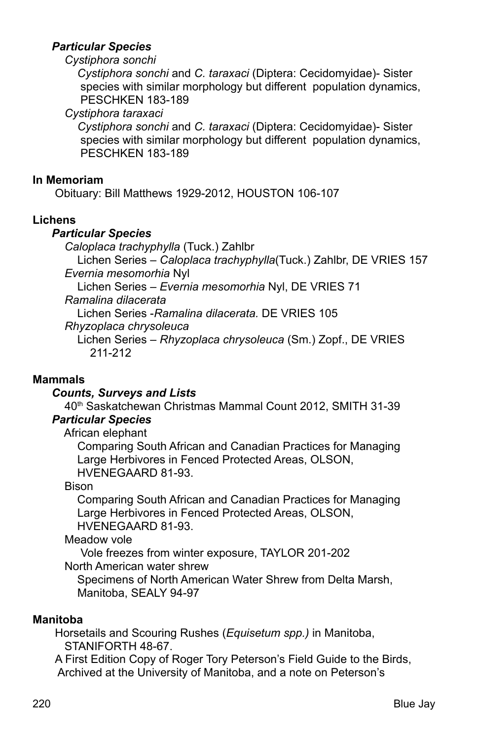#### *Particular Species*

#### *Cystiphora sonchi*

 *Cystiphora sonchi* and *C. taraxaci* (Diptera: Cecidomyidae)- Sister species with similar morphology but different population dynamics, Peschken 183-189

*Cystiphora taraxaci*

 *Cystiphora sonchi* and *C. taraxaci* (Diptera: Cecidomyidae)- Sister species with similar morphology but different population dynamics, Peschken 183-189

#### **In Memoriam**

Obituary: Bill Matthews 1929-2012, HOUSTON 106-107

#### **Lichens**

#### *Particular Species*

*Caloplaca trachyphylla* (Tuck.) Zahlbr

 Lichen Series – *Caloplaca trachyphylla*(Tuck.) Zahlbr, DE VRIES 157 *Evernia mesomorhia* Nyl

Lichen Series – *Evernia mesomorhia* Nyl, DE VRIES 71

 *Ramalina dilacerata*

Lichen Series -*Ramalina dilacerata.* DE VRIES 105

*Rhyzoplaca chrysoleuca*

 Lichen Series – *Rhyzoplaca chrysoleuca* (Sm.) Zopf., DE VRIES 211-212

#### **Mammals**

#### *Counts, Surveys and Lists*

40th Saskatchewan Christmas Mammal Count 2012, SMITH 31-39

# *Particular Species*

African elephant

 Comparing South African and Canadian Practices for Managing Large Herbivores in Fenced Protected Areas, OLSON, Hvenegaard 81-93.

#### Bison

Comparing South African and Canadian Practices for Managing Large Herbivores in Fenced Protected Areas, OLSON, Hvenegaard 81-93.

Meadow vole

 Vole freezes from winter exposure, TAYLOR 201-202 North American water shrew

Specimens of North American Water Shrew from Delta Marsh, Manitoba, SEALY 94-97

#### **Manitoba**

 Horsetails and Scouring Rushes (*Equisetum spp.)* in Manitoba, STANIFORTH 48-67.

A First Edition Copy of Roger Tory Peterson's Field Guide to the Birds, Archived at the University of Manitoba, and a note on Peterson's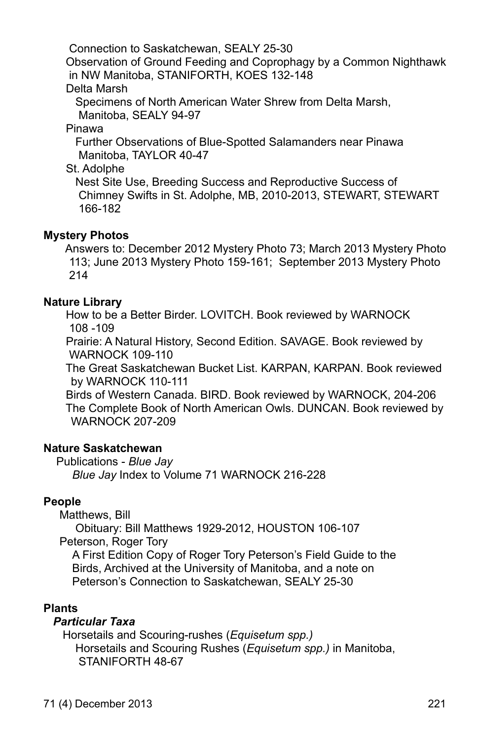Connection to Saskatchewan, SEALY 25-30

Observation of Ground Feeding and Coprophagy by a Common Nighthawk in NW Manitoba, STANIFORTH, KOES 132-148

Delta Marsh

Specimens of North American Water Shrew from Delta Marsh, Manitoba, SEALY 94-97

Pinawa

Further Observations of Blue-Spotted Salamanders near Pinawa Manitoba, TAYLOR 40-47

St. Adolphe

 Nest Site Use, Breeding Success and Reproductive Success of Chimney Swifts in St. Adolphe, MB, 2010-2013, STEWART, STEWART 166-182

# **Mystery Photos**

 Answers to: December 2012 Mystery Photo 73; March 2013 Mystery Photo 113; June 2013 Mystery Photo 159-161; September 2013 Mystery Photo 214

#### **Nature Library**

 How to be a Better Birder. LOVITCH. Book reviewed by WARNOCK 108 -109

 Prairie: A Natural History, Second Edition. SAVAGE. Book reviewed by WARNOCK 109-110

 The Great Saskatchewan Bucket List. KARPAN, KARPAN. Book reviewed by WARNOCK 110-111

 Birds of Western Canada. BIRD. Book reviewed by WARNOCK, 204-206 The Complete Book of North American Owls. DUNCAN. Book reviewed by WARNOCK 207-209

#### **Nature Saskatchewan**

Publications - *Blue Jay Blue Jay* Index to Volume 71 WARNOCK 216-228

# **People**

Matthews, Bill

Obituary: Bill Matthews 1929-2012, HOUSTON 106-107

Peterson, Roger Tory

A First Edition Copy of Roger Tory Peterson's Field Guide to the Birds, Archived at the University of Manitoba, and a note on Peterson's Connection to Saskatchewan, SEALY 25-30

#### **Plants**

# *Particular Taxa*

Horsetails and Scouring-rushes (*Equisetum spp.)* Horsetails and Scouring Rushes (*Equisetum spp.)* in Manitoba, STANIFORTH 48-67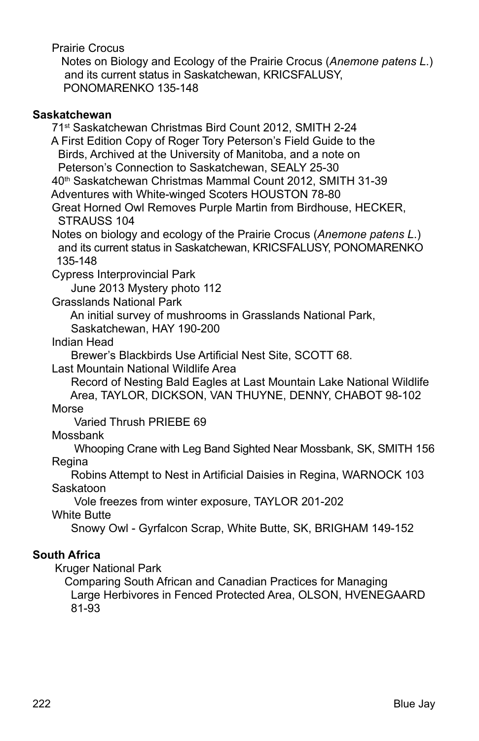Prairie Crocus

 Notes on Biology and Ecology of the Prairie Crocus (*Anemone patens L*.) and its current status in Saskatchewan, KRICSFALUSY, PONOMARENKO 135-148

#### **Saskatchewan**

 71st Saskatchewan Christmas Bird Count 2012, SMITH 2-24 A First Edition Copy of Roger Tory Peterson's Field Guide to the Birds, Archived at the University of Manitoba, and a note on Peterson's Connection to Saskatchewan, SEALY 25-30 40th Saskatchewan Christmas Mammal Count 2012, SMITH 31-39 Adventures with White-winged Scoters HOUSTON 78-80

 Great Horned Owl Removes Purple Martin from Birdhouse, HECKER, STRAUSS 104

 Notes on biology and ecology of the Prairie Crocus (*Anemone patens L*.) and its current status in Saskatchewan, KRICSFALUSY, PONOMARENKO 135-148

Cypress Interprovincial Park

June 2013 Mystery photo 112

Grasslands National Park

An initial survey of mushrooms in Grasslands National Park,

Saskatchewan, HAY 190-200

Indian Head

Brewer's Blackbirds Use Artificial Nest Site, SCOTT 68.

Last Mountain National Wildlife Area

 Record of Nesting Bald Eagles at Last Mountain Lake National Wildlife Area, TAYLOR, DICKSON, VAN THUYNE, DENNY, CHABOT 98-102 Morse

Varied Thrush PRIEBE 69

Mossbank

 Whooping Crane with Leg Band Sighted Near Mossbank, SK, SMITH 156 Regina

 Robins Attempt to Nest in Artificial Daisies in Regina, WARNOCK 103 Saskatoon

Vole freezes from winter exposure, TAYLOR 201-202

White Butte

Snowy Owl - Gyrfalcon Scrap, White Butte, SK, BRIGHAM 149-152

# **South Africa**

Kruger National Park

 Comparing South African and Canadian Practices for Managing Large Herbivores in Fenced Protected Area, OLSON, HVENEGAARD 81-93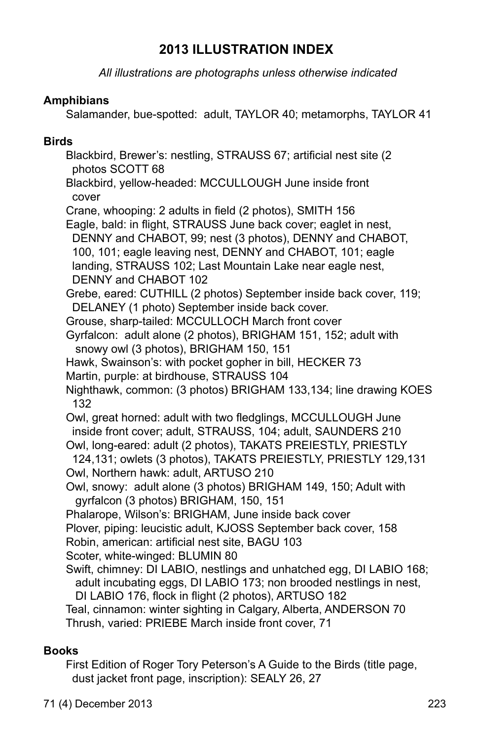# **2013 ILLUSTRATION INDEX**

*All illustrations are photographs unless otherwise indicated*

### **Amphibians**

Salamander, bue-spotted: adult, TAYLOR 40; metamorphs, TAYLOR 41

#### **Birds**

 Blackbird, Brewer's: nestling, STRAUSS 67; artificial nest site (2 photos SCOTT 68

 Blackbird, yellow-headed: MCCULLOUGH June inside front cover

Crane, whooping: 2 adults in field (2 photos), SMITH 156

 Eagle, bald: in flight, STRAUSS June back cover; eaglet in nest, DENNY and CHABOT, 99; nest (3 photos), DENNY and CHABOT, 100, 101; eagle leaving nest, DENNY and CHABOT, 101; eagle landing, STRAUSS 102; Last Mountain Lake near eagle nest, DENNY and CHABOT 102

 Grebe, eared: CUTHILL (2 photos) September inside back cover, 119; DELANEY (1 photo) September inside back cover.

Grouse, sharp-tailed: MCCULLOCH March front cover

 Gyrfalcon: adult alone (2 photos), BRIGHAM 151, 152; adult with snowy owl (3 photos), BRIGHAM 150, 151

Hawk, Swainson's: with pocket gopher in bill, HECKER 73

Martin, purple: at birdhouse, STRAUSS 104

 Nighthawk, common: (3 photos) BRIGHAM 133,134; line drawing KOES 132

 Owl, great horned: adult with two fledglings, MCCULLOUGH June inside front cover; adult, STRAUSS, 104; adult, SAUNDERS 210

 Owl, long-eared: adult (2 photos), TAKATS PREIESTLY, PRIESTLY 124,131; owlets (3 photos), TAKATS PREIESTLY, PRIESTLY 129,131

Owl, Northern hawk: adult, ARTUSO 210

 Owl, snowy: adult alone (3 photos) BRIGHAM 149, 150; Adult with gyrfalcon (3 photos) BRIGHAM, 150, 151

Phalarope, Wilson's: BRIGHAM, June inside back cover

Plover, piping: leucistic adult, KJOSS September back cover, 158

Robin, american: artificial nest site, BAGU 103

Scoter, white-winged: BLUMIN 80

Swift, chimney: DI LABIO, nestlings and unhatched egg, DI LABIO 168; adult incubating eggs, DI LABIO 173; non brooded nestlings in nest, Di Labio 176, flock in flight (2 photos), ARTUSO 182

 Teal, cinnamon: winter sighting in Calgary, Alberta, ANDERSON 70 Thrush, varied: PRIEBE March inside front cover, 71

# **Books**

 First Edition of Roger Tory Peterson's A Guide to the Birds (title page, dust jacket front page, inscription): SEALY 26, 27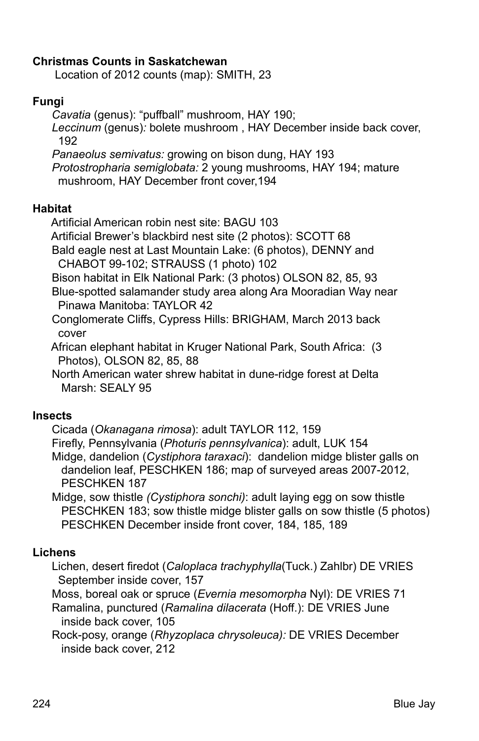### **Christmas Counts in Saskatchewan**

Location of 2012 counts (map): SMITH, 23

### **Fungi**

 *Cavatia* (genus): "puffball" mushroom, HAY 190;  *Leccinum* (genus)*:* bolete mushroom , HAY December inside back cover, 192

 *Panaeolus semivatus:* growing on bison dung, HAY 193  *Protostropharia semiglobata:* 2 young mushrooms, HAY 194; mature mushroom, HAY December front cover,194

#### **Habitat**

Artificial American robin nest site: BAGU 103

Artificial Brewer's blackbird nest site (2 photos): SCOTT 68

 Bald eagle nest at Last Mountain Lake: (6 photos), DENNY and CHABOT 99-102; STRAUSS (1 photo) 102

Bison habitat in Elk National Park: (3 photos) OLSON 82, 85, 93

 Blue-spotted salamander study area along Ara Mooradian Way near Pinawa Manitoba: TAYLOR 42

 Conglomerate Cliffs, Cypress Hills: BRIGHAM, March 2013 back cover

 African elephant habitat in Kruger National Park, South Africa: (3 Photos), OLSON 82, 85, 88

 North American water shrew habitat in dune-ridge forest at Delta Marsh: SEALY 95

#### **Insects**

Cicada (*Okanagana rimosa*): adult TAYLOR 112, 159

 Firefly, Pennsylvania (*Photuris pennsylvanica*): adult, LUK 154 Midge, dandelion (*Cystiphora taraxaci*): dandelion midge blister galls on dandelion leaf, PESCHKEN 186; map of surveyed areas 2007-2012, PESCHKEN 187

 Midge, sow thistle *(Cystiphora sonchi)*: adult laying egg on sow thistle PESCHKEN 183; sow thistle midge blister galls on sow thistle (5 photos) PESCHKEN December inside front cover, 184, 185, 189

# **Lichens**

 Lichen, desert firedot (*Caloplaca trachyphylla*(Tuck.) Zahlbr) DE VRIES September inside cover, 157

Moss, boreal oak or spruce (*Evernia mesomorpha* Nyl): DE VRIES 71

Ramalina, punctured (*Ramalina dilacerata* (Hoff.): DE VRIES June inside back cover, 105

Rock-posy, orange (*Rhyzoplaca chrysoleuca):* DE VRIES December inside back cover, 212